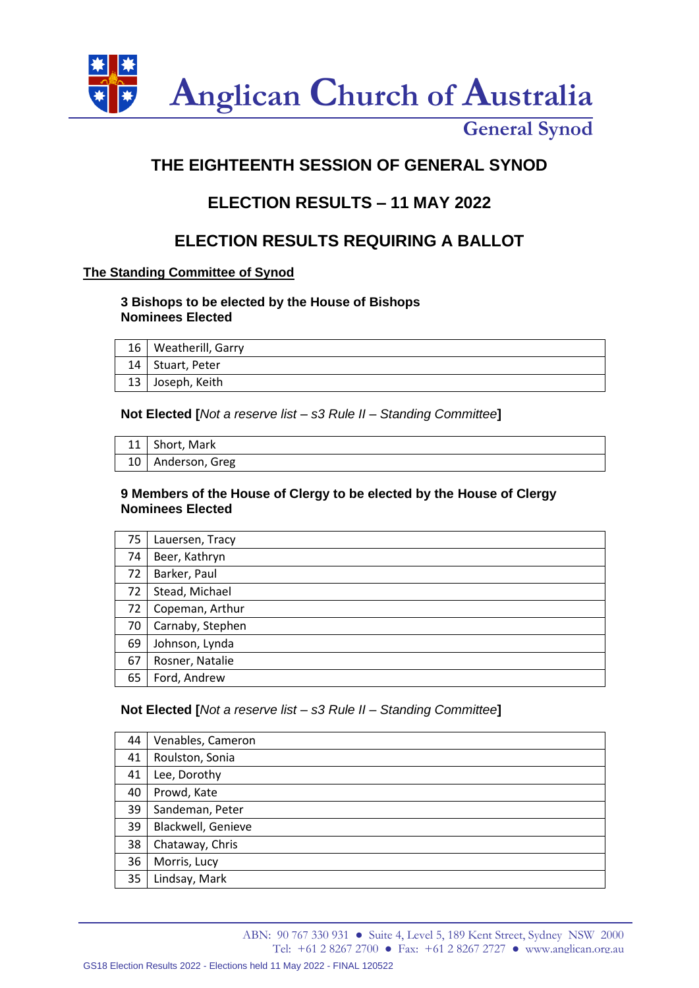

# **THE EIGHTEENTH SESSION OF GENERAL SYNOD**

## **ELECTION RESULTS – 11 MAY 2022**

## **ELECTION RESULTS REQUIRING A BALLOT**

## **The Standing Committee of Synod**

## **3 Bishops to be elected by the House of Bishops Nominees Elected**

| 16 | Weatherill, Garry  |
|----|--------------------|
|    | 14   Stuart, Peter |
|    | 13 Joseph, Keith   |

### **Not Elected [***Not a reserve list – s3 Rule II – Standing Committee***]**

| 11   Short, Mark    |
|---------------------|
| 10   Anderson, Greg |

### **9 Members of the House of Clergy to be elected by the House of Clergy Nominees Elected**

| 75 | Lauersen, Tracy  |
|----|------------------|
| 74 | Beer, Kathryn    |
| 72 | Barker, Paul     |
| 72 | Stead, Michael   |
| 72 | Copeman, Arthur  |
| 70 | Carnaby, Stephen |
| 69 | Johnson, Lynda   |
| 67 | Rosner, Natalie  |
| 65 | Ford, Andrew     |

## **Not Elected [***Not a reserve list – s3 Rule II – Standing Committee***]**

| 44 | Venables, Cameron  |
|----|--------------------|
| 41 | Roulston, Sonia    |
| 41 | Lee, Dorothy       |
| 40 | Prowd, Kate        |
| 39 | Sandeman, Peter    |
| 39 | Blackwell, Genieve |
| 38 | Chataway, Chris    |
| 36 | Morris, Lucy       |
| 35 | Lindsay, Mark      |

ABN: 90 767 330 931 ● Suite 4, Level 5, 189 Kent Street, Sydney NSW 2000 Tel: +61 2 8267 2700 ● Fax: +61 2 8267 2727 ● [www.anglican.org.au](http://www.anglican.org.au/)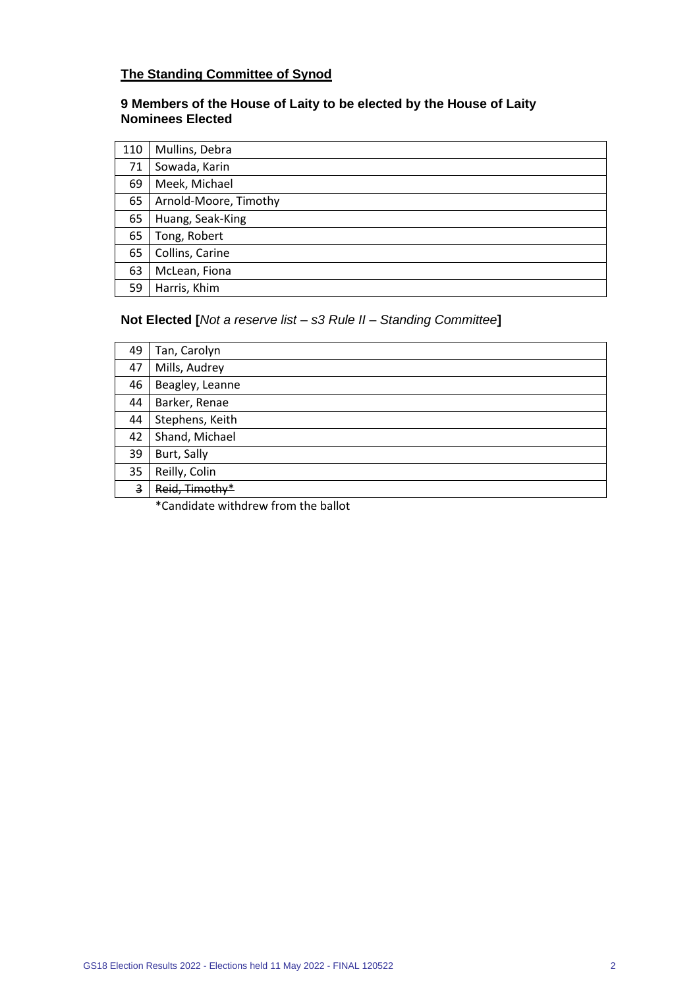## **The Standing Committee of Synod**

## **9 Members of the House of Laity to be elected by the House of Laity Nominees Elected**

| 110 | Mullins, Debra        |
|-----|-----------------------|
| 71  | Sowada, Karin         |
| 69  | Meek, Michael         |
| 65  | Arnold-Moore, Timothy |
| 65  | Huang, Seak-King      |
| 65  | Tong, Robert          |
| 65  | Collins, Carine       |
| 63  | McLean, Fiona         |
| 59  | Harris, Khim          |

## **Not Elected [***Not a reserve list – s3 Rule II – Standing Committee***]**

| 49             | Tan, Carolyn    |
|----------------|-----------------|
| 47             | Mills, Audrey   |
| 46             | Beagley, Leanne |
| 44             | Barker, Renae   |
| 44             | Stephens, Keith |
| 42             | Shand, Michael  |
| 39             | Burt, Sally     |
| 35             | Reilly, Colin   |
| $\overline{3}$ | Reid, Timothy*  |

\*Candidate withdrew from the ballot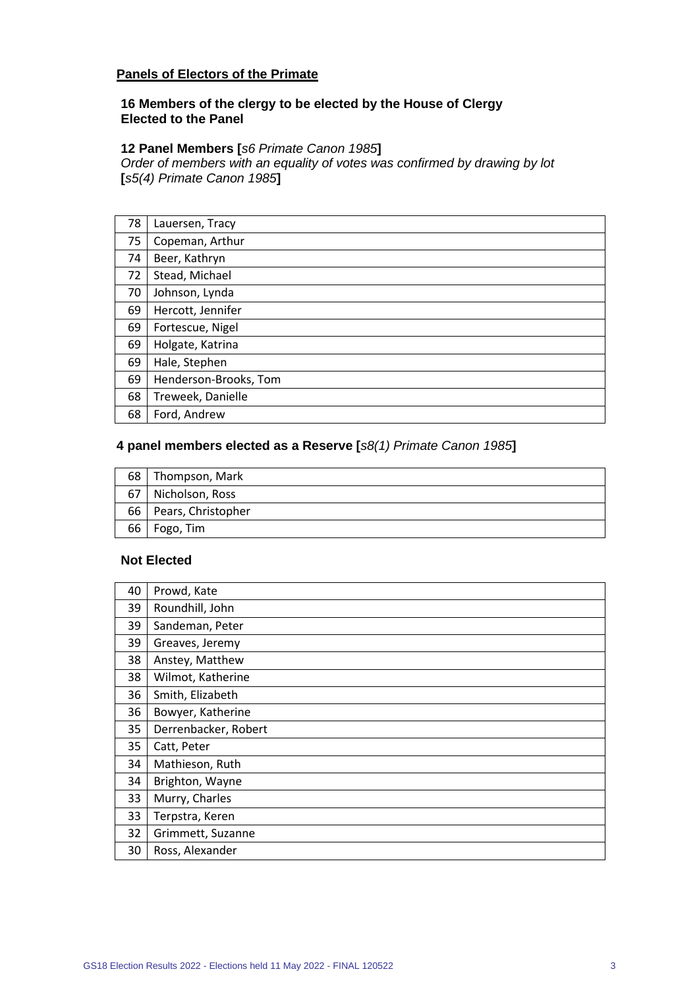### **Panels of Electors of the Primate**

#### **16 Members of the clergy to be elected by the House of Clergy Elected to the Panel**

### **12 Panel Members [***s6 Primate Canon 1985***]**

*Order of members with an equality of votes was confirmed by drawing by lot*  **[***s5(4) Primate Canon 1985***]**

| 78 | Lauersen, Tracy       |
|----|-----------------------|
| 75 | Copeman, Arthur       |
| 74 | Beer, Kathryn         |
| 72 | Stead, Michael        |
| 70 | Johnson, Lynda        |
| 69 | Hercott, Jennifer     |
| 69 | Fortescue, Nigel      |
| 69 | Holgate, Katrina      |
| 69 | Hale, Stephen         |
| 69 | Henderson-Brooks, Tom |
| 68 | Treweek, Danielle     |
| 68 | Ford, Andrew          |

#### **4 panel members elected as a Reserve [***s8(1) Primate Canon 1985***]**

| 68   Thompson, Mark     |
|-------------------------|
| 67   Nicholson, Ross    |
| 66   Pears, Christopher |
| 66   Fogo, Tim          |

## **Not Elected**

| 40 | Prowd, Kate          |
|----|----------------------|
| 39 | Roundhill, John      |
| 39 | Sandeman, Peter      |
| 39 | Greaves, Jeremy      |
| 38 | Anstey, Matthew      |
| 38 | Wilmot, Katherine    |
| 36 | Smith, Elizabeth     |
| 36 | Bowyer, Katherine    |
| 35 | Derrenbacker, Robert |
| 35 | Catt, Peter          |
| 34 | Mathieson, Ruth      |
| 34 | Brighton, Wayne      |
| 33 | Murry, Charles       |
| 33 | Terpstra, Keren      |
| 32 | Grimmett, Suzanne    |
| 30 | Ross, Alexander      |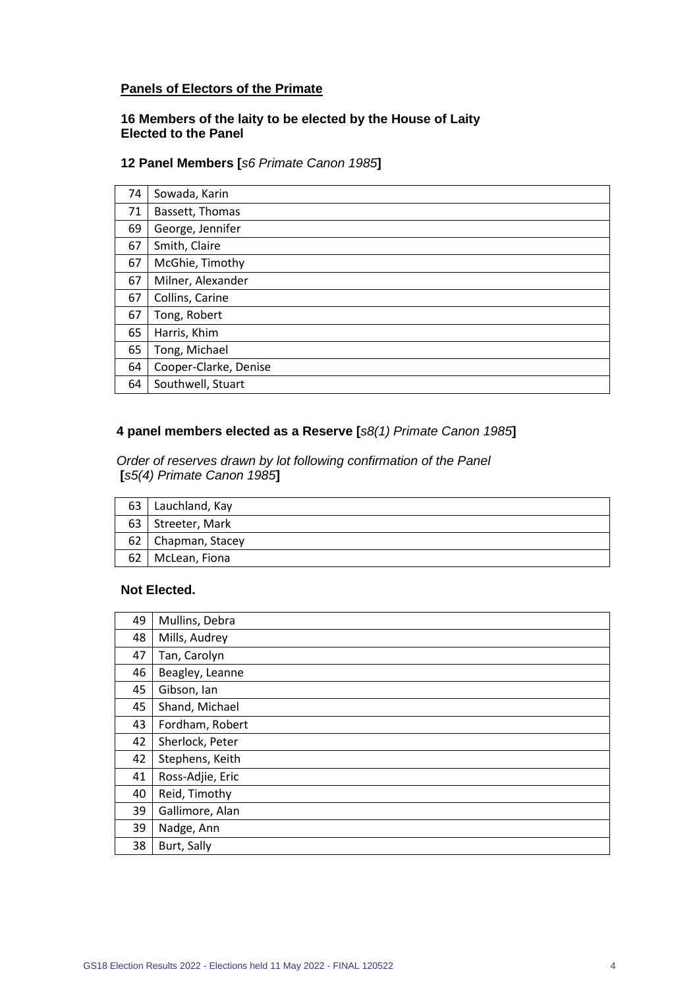## **Panels of Electors of the Primate**

### **16 Members of the laity to be elected by the House of Laity Elected to the Panel**

#### **12 Panel Members [***s6 Primate Canon 1985***]**

| 74 | Sowada, Karin         |
|----|-----------------------|
| 71 | Bassett, Thomas       |
| 69 | George, Jennifer      |
| 67 | Smith, Claire         |
| 67 | McGhie, Timothy       |
| 67 | Milner, Alexander     |
| 67 | Collins, Carine       |
| 67 | Tong, Robert          |
| 65 | Harris, Khim          |
| 65 | Tong, Michael         |
| 64 | Cooper-Clarke, Denise |
| 64 | Southwell, Stuart     |

### **4 panel members elected as a Reserve [***s8(1) Primate Canon 1985***]**

*Order of reserves drawn by lot following confirmation of the Panel* **[***s5(4) Primate Canon 1985***]**

|    | 63   Lauchland, Kay  |
|----|----------------------|
|    | 63   Streeter, Mark  |
|    | 62   Chapman, Stacey |
| 62 | McLean, Fiona        |

#### **Not Elected.**

| 49 | Mullins, Debra   |
|----|------------------|
| 48 | Mills, Audrey    |
| 47 | Tan, Carolyn     |
| 46 | Beagley, Leanne  |
| 45 | Gibson, Ian      |
| 45 | Shand, Michael   |
| 43 | Fordham, Robert  |
| 42 | Sherlock, Peter  |
| 42 | Stephens, Keith  |
| 41 | Ross-Adjie, Eric |
| 40 | Reid, Timothy    |
| 39 | Gallimore, Alan  |
| 39 | Nadge, Ann       |
| 38 | Burt, Sally      |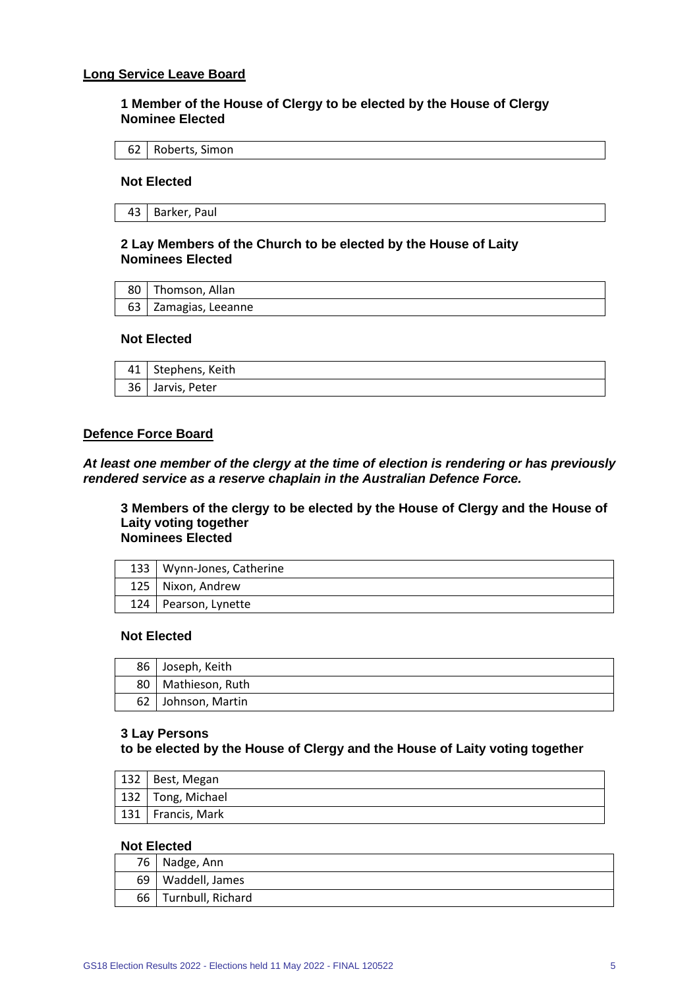#### **Long Service Leave Board**

**1 Member of the House of Clergy to be elected by the House of Clergy Nominee Elected**

|  | 62 Roberts, Simon |
|--|-------------------|
|--|-------------------|

#### **Not Elected**

#### **2 Lay Members of the Church to be elected by the House of Laity Nominees Elected**

| 80   Thomson, Allan  |
|----------------------|
| 63 Zamagias, Leeanne |

#### **Not Elected**

| 41   Stephens, Keith |
|----------------------|
| 36 Jarvis, Peter     |

#### **Defence Force Board**

*At least one member of the clergy at the time of election is rendering or has previously rendered service as a reserve chaplain in the Australian Defence Force.*

**3 Members of the clergy to be elected by the House of Clergy and the House of Laity voting together Nominees Elected**

| 133   Wynn-Jones, Catherine |
|-----------------------------|
| 125   Nixon, Andrew         |
| 124   Pearson, Lynette      |

#### **Not Elected**

| 86   | Joseph, Keith   |
|------|-----------------|
| 80 I | Mathieson, Ruth |
| 62   | Johnson, Martin |

#### **3 Lay Persons**

**to be elected by the House of Clergy and the House of Laity voting together**

| $132$ Best, Megan   |
|---------------------|
| 132   Tong, Michael |
| 131   Francis, Mark |

#### **Not Elected**

|      | 76 Nadge, Ann     |
|------|-------------------|
| 69 I | Waddell, James    |
| 66 I | Turnbull, Richard |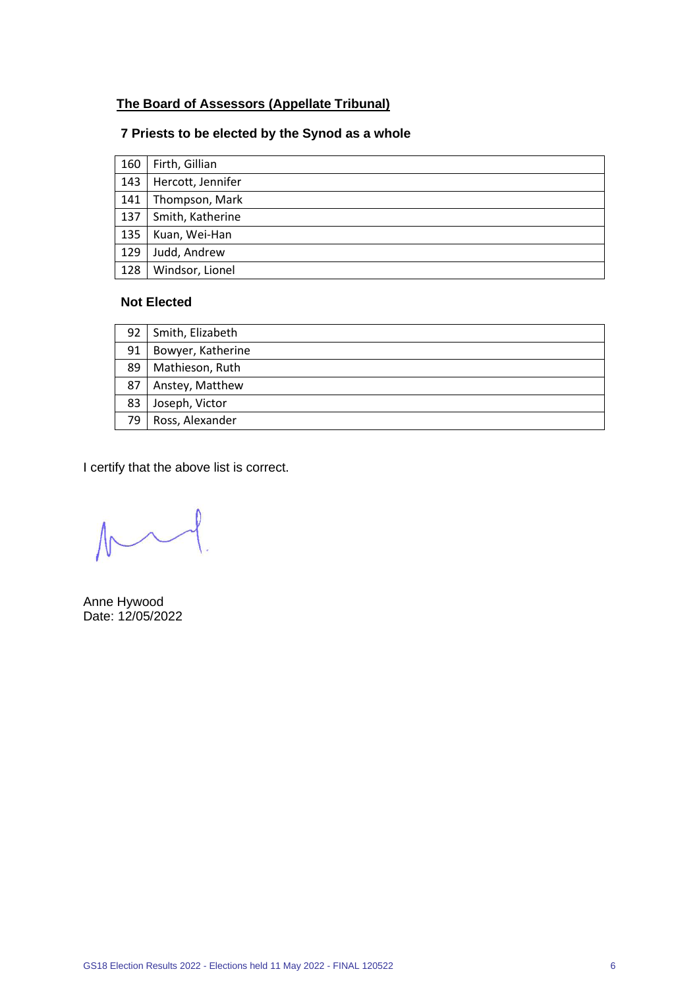## **The Board of Assessors (Appellate Tribunal)**

## **7 Priests to be elected by the Synod as a whole**

| 160 | Firth, Gillian    |
|-----|-------------------|
| 143 | Hercott, Jennifer |
| 141 | Thompson, Mark    |
| 137 | Smith, Katherine  |
| 135 | Kuan, Wei-Han     |
| 129 | Judd, Andrew      |
| 128 | Windsor, Lionel   |

### **Not Elected**

| 92 | Smith, Elizabeth  |
|----|-------------------|
| 91 | Bowyer, Katherine |
| 89 | Mathieson, Ruth   |
| 87 | Anstey, Matthew   |
| 83 | Joseph, Victor    |
| 79 | Ross, Alexander   |

 $M$ 

Anne Hywood Date: 12/05/2022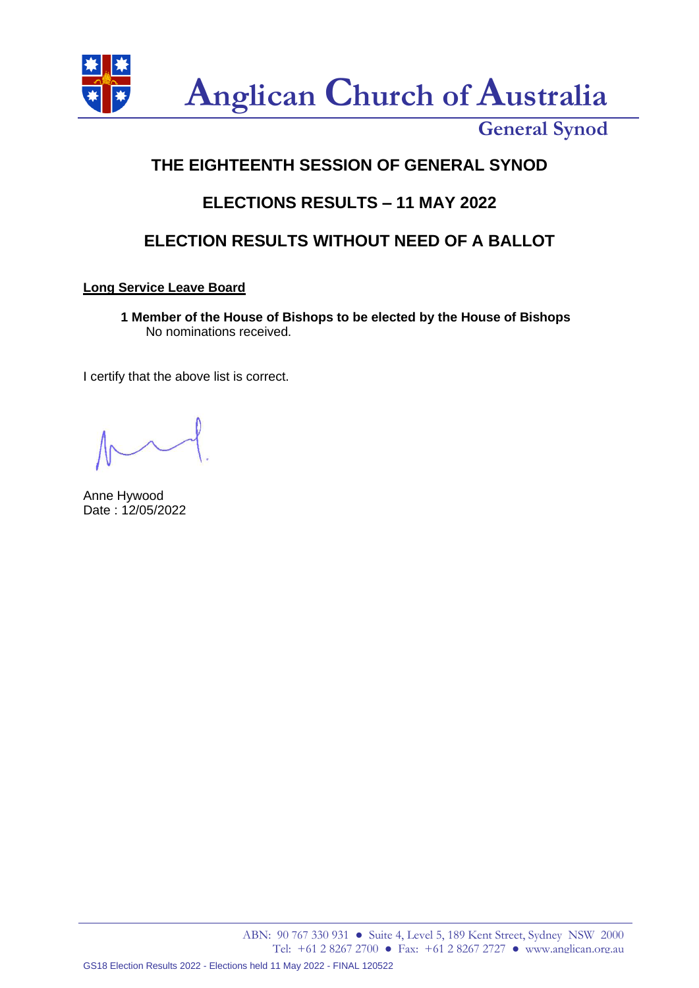

# **THE EIGHTEENTH SESSION OF GENERAL SYNOD**

## **ELECTIONS RESULTS – 11 MAY 2022**

## **ELECTION RESULTS WITHOUT NEED OF A BALLOT**

## **Long Service Leave Board**

**1 Member of the House of Bishops to be elected by the House of Bishops** No nominations received.

Anne Hywood Date : 12/05/2022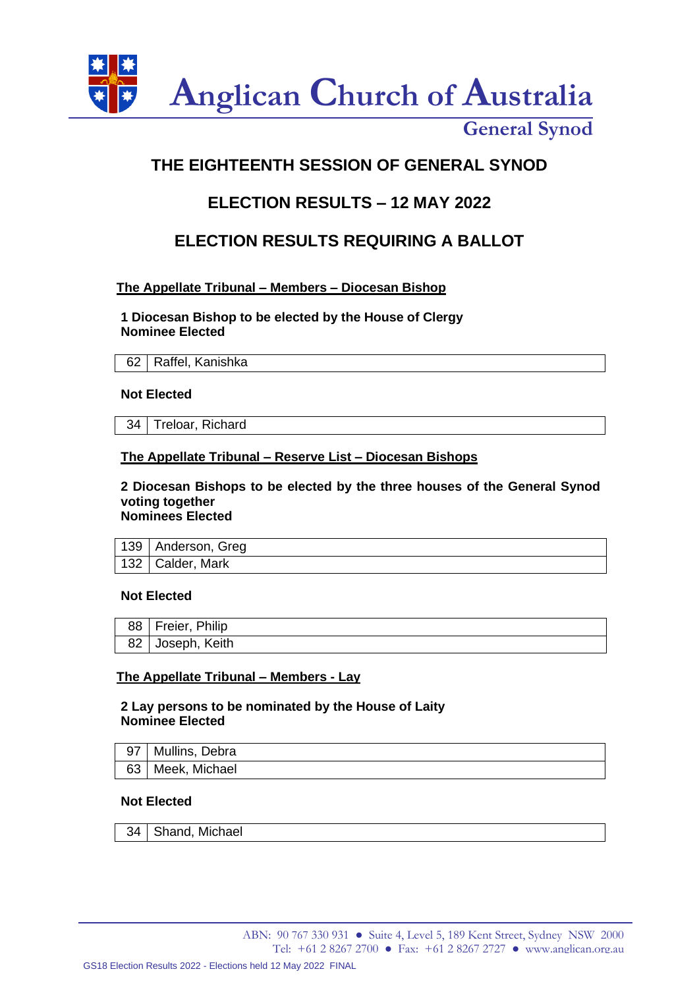

# **THE EIGHTEENTH SESSION OF GENERAL SYNOD**

## **ELECTION RESULTS – 12 MAY 2022**

## **ELECTION RESULTS REQUIRING A BALLOT**

## **The Appellate Tribunal – Members – Diocesan Bishop**

**1 Diocesan Bishop to be elected by the House of Clergy Nominee Elected**

| 62   Raffel, Kanishka |
|-----------------------|
|                       |

### **Not Elected**

34 | Treloar, Richard

## **The Appellate Tribunal – Reserve List – Diocesan Bishops**

#### **2 Diocesan Bishops to be elected by the three houses of the General Synod voting together Nominees Elected**

| 139   Anderson, Greg |
|----------------------|
| 132   Calder, Mark   |

### **Not Elected**

| 88   Freier, Philip |
|---------------------|
| 82 Joseph, Keith    |

### **The Appellate Tribunal – Members - Lay**

### **2 Lay persons to be nominated by the House of Laity Nominee Elected**

| 97 | Mullins, Debra |
|----|----------------|
| 63 | Meek, Michael  |

### **Not Elected**

| 34   Shand, Michael |  |
|---------------------|--|
|---------------------|--|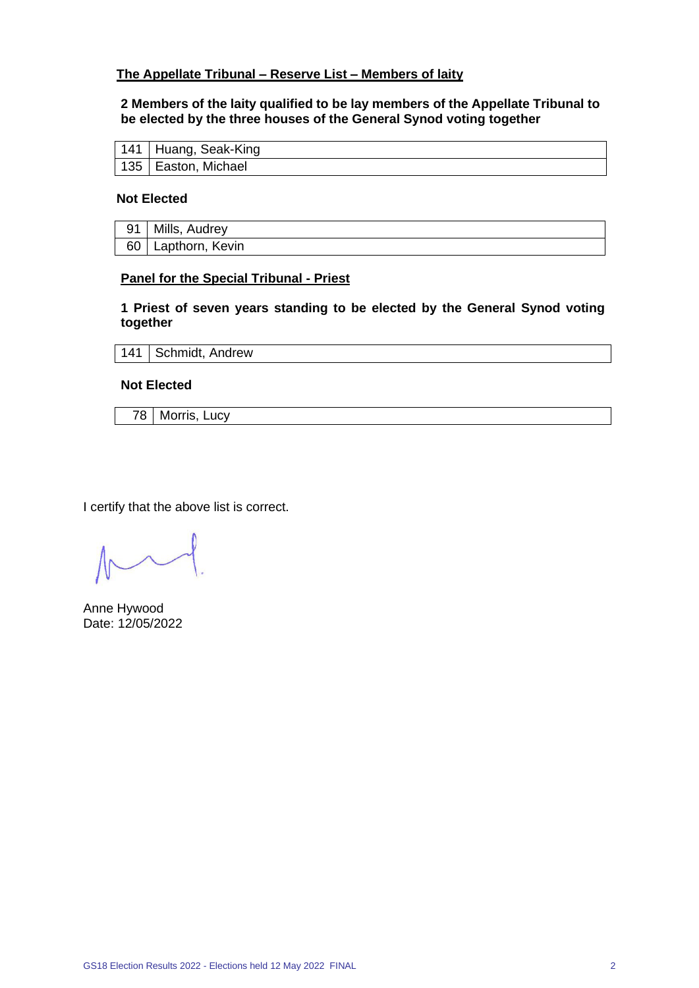### **The Appellate Tribunal – Reserve List – Members of laity**

#### **2 Members of the laity qualified to be lay members of the Appellate Tribunal to be elected by the three houses of the General Synod voting together**

| 141   Huang, Seak-King |
|------------------------|
| 135   Easton, Michael  |

#### **Not Elected**

| 91 | Mills, Audrey        |
|----|----------------------|
|    | 60   Lapthorn, Kevin |

#### **Panel for the Special Tribunal - Priest**

**1 Priest of seven years standing to be elected by the General Synod voting together**

141 | Schmidt, Andrew

**Not Elected**

78 Morris, Lucy

Anne Hywood Date: 12/05/2022